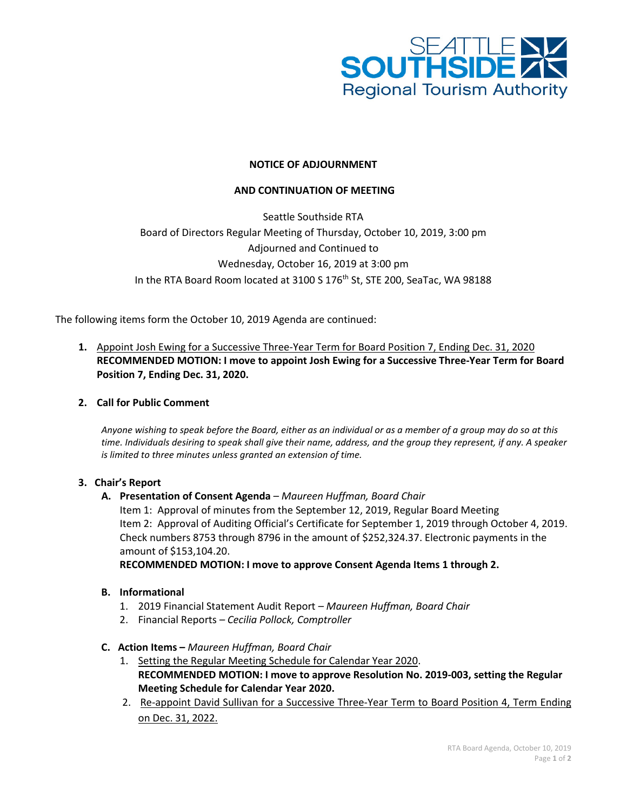

## **NOTICE OF ADJOURNMENT**

## **AND CONTINUATION OF MEETING**

Seattle Southside RTA Board of Directors Regular Meeting of Thursday, October 10, 2019, 3:00 pm Adjourned and Continued to Wednesday, October 16, 2019 at 3:00 pm In the RTA Board Room located at 3100 S 176<sup>th</sup> St, STE 200, SeaTac, WA 98188

The following items form the October 10, 2019 Agenda are continued:

**1.** Appoint Josh Ewing for a Successive Three-Year Term for Board Position 7, Ending Dec. 31, 2020 **RECOMMENDED MOTION: I move to appoint Josh Ewing for a Successive Three-Year Term for Board Position 7, Ending Dec. 31, 2020.**

## **2. Call for Public Comment**

*Anyone wishing to speak before the Board, either as an individual or as a member of a group may do so at this time. Individuals desiring to speak shall give their name, address, and the group they represent, if any. A speaker is limited to three minutes unless granted an extension of time.*

#### **3. Chair's Report**

#### **A. Presentation of Consent Agenda** *– Maureen Huffman, Board Chair*

Item 1: Approval of minutes from the September 12, 2019, Regular Board Meeting Item 2: Approval of Auditing Official's Certificate for September 1, 2019 through October 4, 2019. Check numbers 8753 through 8796 in the amount of \$252,324.37. Electronic payments in the amount of \$153,104.20.

**RECOMMENDED MOTION: I move to approve Consent Agenda Items 1 through 2.**

## **B. Informational**

- 1. 2019 Financial Statement Audit Report *– Maureen Huffman, Board Chair*
- 2. Financial Reports *– Cecilia Pollock, Comptroller*

### **C. Action Items –** *Maureen Huffman, Board Chair*

- 1. Setting the Regular Meeting Schedule for Calendar Year 2020. **RECOMMENDED MOTION: I move to approve Resolution No. 2019-003, setting the Regular Meeting Schedule for Calendar Year 2020.**
- 2. Re-appoint David Sullivan for a Successive Three-Year Term to Board Position 4, Term Ending on Dec. 31, 2022.